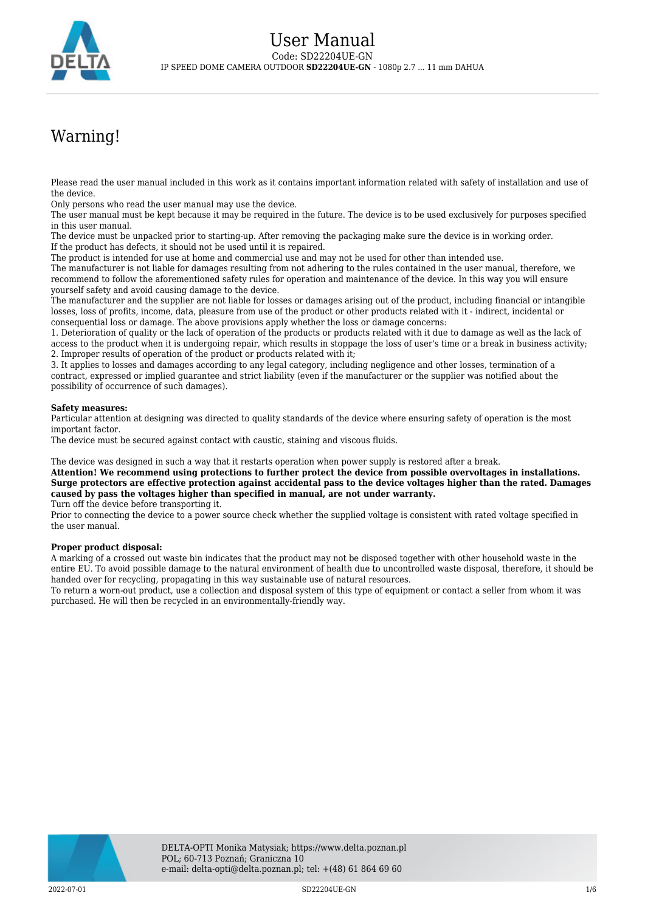

# Warning!

Please read the user manual included in this work as it contains important information related with safety of installation and use of the device.

Only persons who read the user manual may use the device.

The user manual must be kept because it may be required in the future. The device is to be used exclusively for purposes specified in this user manual.

The device must be unpacked prior to starting-up. After removing the packaging make sure the device is in working order. If the product has defects, it should not be used until it is repaired.

The product is intended for use at home and commercial use and may not be used for other than intended use.

The manufacturer is not liable for damages resulting from not adhering to the rules contained in the user manual, therefore, we recommend to follow the aforementioned safety rules for operation and maintenance of the device. In this way you will ensure yourself safety and avoid causing damage to the device.

The manufacturer and the supplier are not liable for losses or damages arising out of the product, including financial or intangible losses, loss of profits, income, data, pleasure from use of the product or other products related with it - indirect, incidental or consequential loss or damage. The above provisions apply whether the loss or damage concerns:

1. Deterioration of quality or the lack of operation of the products or products related with it due to damage as well as the lack of access to the product when it is undergoing repair, which results in stoppage the loss of user's time or a break in business activity; 2. Improper results of operation of the product or products related with it;

3. It applies to losses and damages according to any legal category, including negligence and other losses, termination of a contract, expressed or implied guarantee and strict liability (even if the manufacturer or the supplier was notified about the possibility of occurrence of such damages).

### **Safety measures:**

Particular attention at designing was directed to quality standards of the device where ensuring safety of operation is the most important factor.

The device must be secured against contact with caustic, staining and viscous fluids.

The device was designed in such a way that it restarts operation when power supply is restored after a break.

**Attention! We recommend using protections to further protect the device from possible overvoltages in installations. Surge protectors are effective protection against accidental pass to the device voltages higher than the rated. Damages caused by pass the voltages higher than specified in manual, are not under warranty.**

Turn off the device before transporting it.

Prior to connecting the device to a power source check whether the supplied voltage is consistent with rated voltage specified in the user manual.

#### **Proper product disposal:**

A marking of a crossed out waste bin indicates that the product may not be disposed together with other household waste in the entire EU. To avoid possible damage to the natural environment of health due to uncontrolled waste disposal, therefore, it should be handed over for recycling, propagating in this way sustainable use of natural resources.

To return a worn-out product, use a collection and disposal system of this type of equipment or contact a seller from whom it was purchased. He will then be recycled in an environmentally-friendly way.

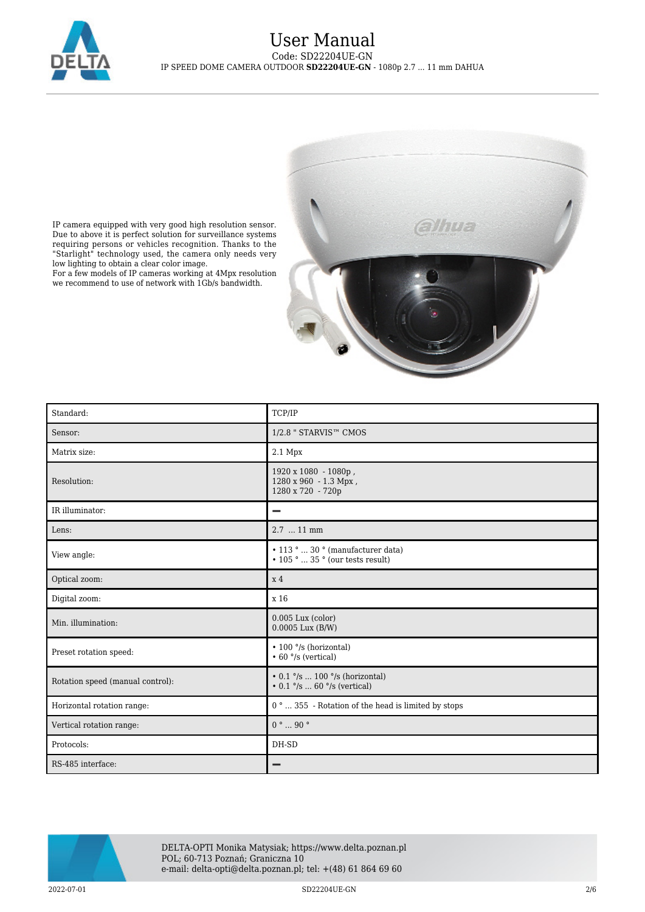

low lighting to obtain a clear color image.

we recommend to use of network with 1Gb/s bandwidth.



Standard: TCP/IP Sensor: 1/2.8 " STARVIS™ CMOS Matrix size: 2.1 Mpx 1920 x 1080 - 1080p , Resolution: 1280 x 960 - 1.3 Mpx , 1280 x 720 - 720p IR illuminator: Lens: 2.7 ... 11 mm • 113 ° ... 30 ° (manufacturer data) View angle:  $\cdot$  105  $\degree$  ... 35  $\degree$  (our tests result) Optical zoom:  $x 4$ Digital zoom:  $x 16$ 0.005 Lux (color) Min. illumination: 0.0005 Lux (B/W) • 100 °/s (horizontal) Preset rotation speed: • 60 °/s (vertical)  $\bullet$  0.1  $^{\circ}/\mathrm{s}$   $\ldots$  100  $^{\circ}/\mathrm{s}$  (horizontal) Rotation speed (manual control): • 0.1 °/s ... 60 °/s (vertical) Horizontal rotation range: 0 ° ... 355 - Rotation of the head is limited by stops Vertical rotation range:  $0^\circ \dots 90^\circ$ Protocols: DH-SD RS-485 interface: $\overline{\phantom{0}}$ 



DELTA-OPTI Monika Matysiak; https://www.delta.poznan.pl POL; 60-713 Poznań; Graniczna 10 e-mail: delta-opti@delta.poznan.pl; tel: +(48) 61 864 69 60

 $2022{\cdot}07{\cdot}01$  SD22204UE-GN  $2/6$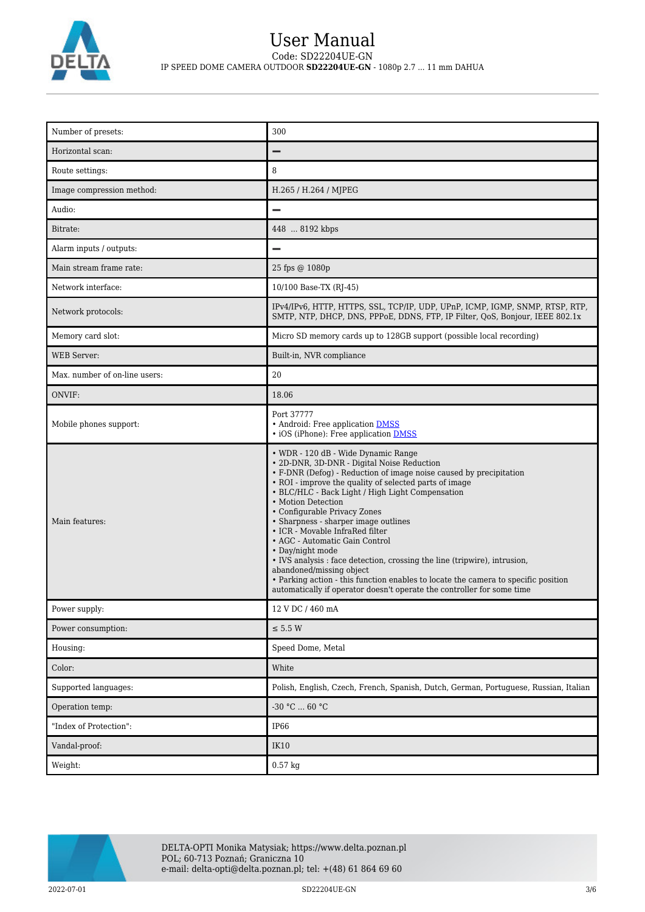

| Number of presets:            | 300                                                                                                                                                                                                                                                                                                                                                                                                                                                                                                                                                                                                                                                                                                                                   |
|-------------------------------|---------------------------------------------------------------------------------------------------------------------------------------------------------------------------------------------------------------------------------------------------------------------------------------------------------------------------------------------------------------------------------------------------------------------------------------------------------------------------------------------------------------------------------------------------------------------------------------------------------------------------------------------------------------------------------------------------------------------------------------|
| Horizontal scan:              | $\overline{\phantom{0}}$                                                                                                                                                                                                                                                                                                                                                                                                                                                                                                                                                                                                                                                                                                              |
| Route settings:               | 8                                                                                                                                                                                                                                                                                                                                                                                                                                                                                                                                                                                                                                                                                                                                     |
| Image compression method:     | H.265 / H.264 / MJPEG                                                                                                                                                                                                                                                                                                                                                                                                                                                                                                                                                                                                                                                                                                                 |
| Audio:                        | $\overline{\phantom{0}}$                                                                                                                                                                                                                                                                                                                                                                                                                                                                                                                                                                                                                                                                                                              |
| Bitrate:                      | 448  8192 kbps                                                                                                                                                                                                                                                                                                                                                                                                                                                                                                                                                                                                                                                                                                                        |
| Alarm inputs / outputs:       | $\overline{\phantom{0}}$                                                                                                                                                                                                                                                                                                                                                                                                                                                                                                                                                                                                                                                                                                              |
| Main stream frame rate:       | 25 fps @ 1080p                                                                                                                                                                                                                                                                                                                                                                                                                                                                                                                                                                                                                                                                                                                        |
| Network interface:            | 10/100 Base-TX (RJ-45)                                                                                                                                                                                                                                                                                                                                                                                                                                                                                                                                                                                                                                                                                                                |
| Network protocols:            | IPv4/IPv6, HTTP, HTTPS, SSL, TCP/IP, UDP, UPnP, ICMP, IGMP, SNMP, RTSP, RTP,<br>SMTP, NTP, DHCP, DNS, PPPoE, DDNS, FTP, IP Filter, QoS, Bonjour, IEEE 802.1x                                                                                                                                                                                                                                                                                                                                                                                                                                                                                                                                                                          |
| Memory card slot:             | Micro SD memory cards up to 128GB support (possible local recording)                                                                                                                                                                                                                                                                                                                                                                                                                                                                                                                                                                                                                                                                  |
| <b>WEB Server:</b>            | Built-in, NVR compliance                                                                                                                                                                                                                                                                                                                                                                                                                                                                                                                                                                                                                                                                                                              |
| Max, number of on-line users: | 20                                                                                                                                                                                                                                                                                                                                                                                                                                                                                                                                                                                                                                                                                                                                    |
| ONVIF:                        | 18.06                                                                                                                                                                                                                                                                                                                                                                                                                                                                                                                                                                                                                                                                                                                                 |
| Mobile phones support:        | Port 37777<br>• Android: Free application DMSS<br>• iOS (iPhone): Free application <b>DMSS</b>                                                                                                                                                                                                                                                                                                                                                                                                                                                                                                                                                                                                                                        |
| Main features:                | • WDR - 120 dB - Wide Dynamic Range<br>· 2D-DNR, 3D-DNR - Digital Noise Reduction<br>• F-DNR (Defog) - Reduction of image noise caused by precipitation<br>• ROI - improve the quality of selected parts of image<br>• BLC/HLC - Back Light / High Light Compensation<br>• Motion Detection<br>• Configurable Privacy Zones<br>• Sharpness - sharper image outlines<br>• ICR - Movable InfraRed filter<br>• AGC - Automatic Gain Control<br>• Day/night mode<br>• IVS analysis : face detection, crossing the line (tripwire), intrusion,<br>abandoned/missing object<br>• Parking action - this function enables to locate the camera to specific position<br>automatically if operator doesn't operate the controller for some time |
| Power supply:                 | 12 V DC / 460 mA                                                                                                                                                                                                                                                                                                                                                                                                                                                                                                                                                                                                                                                                                                                      |
| Power consumption:            | $\leq$ 5.5 W                                                                                                                                                                                                                                                                                                                                                                                                                                                                                                                                                                                                                                                                                                                          |
| Housing:                      | Speed Dome, Metal                                                                                                                                                                                                                                                                                                                                                                                                                                                                                                                                                                                                                                                                                                                     |
| Color:                        | White                                                                                                                                                                                                                                                                                                                                                                                                                                                                                                                                                                                                                                                                                                                                 |
| Supported languages:          | Polish, English, Czech, French, Spanish, Dutch, German, Portuguese, Russian, Italian                                                                                                                                                                                                                                                                                                                                                                                                                                                                                                                                                                                                                                                  |
| Operation temp:               | $-30$ °C $\ldots$ 60 °C                                                                                                                                                                                                                                                                                                                                                                                                                                                                                                                                                                                                                                                                                                               |
| "Index of Protection":        | IP66                                                                                                                                                                                                                                                                                                                                                                                                                                                                                                                                                                                                                                                                                                                                  |
| Vandal-proof:                 | IK10                                                                                                                                                                                                                                                                                                                                                                                                                                                                                                                                                                                                                                                                                                                                  |
| Weight:                       | $0.57$ kg                                                                                                                                                                                                                                                                                                                                                                                                                                                                                                                                                                                                                                                                                                                             |

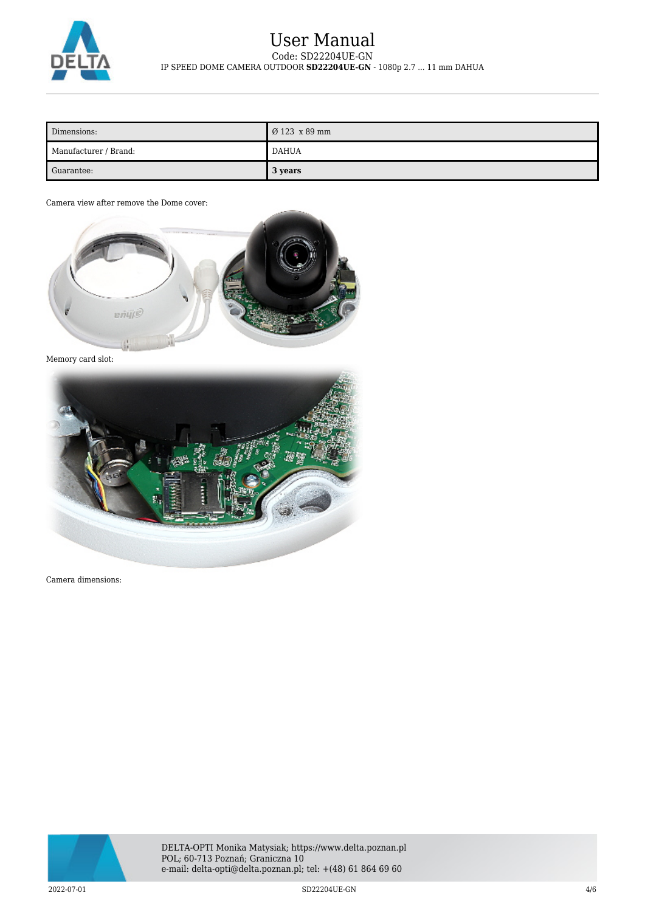

## User Manual Code: SD22204UE-GN IP SPEED DOME CAMERA OUTDOOR **SD22204UE-GN** - 1080p 2.7 ... 11 mm DAHUA

| Dimensions:           | $\overline{0}123 \times 89$ mm |
|-----------------------|--------------------------------|
| Manufacturer / Brand: | DAHUA                          |
| Guarantee:            | 3 years                        |

Camera view after remove the Dome cover:



Memory card slot:



Camera dimensions:



2022-07-01 SD22204UE-GN 4/6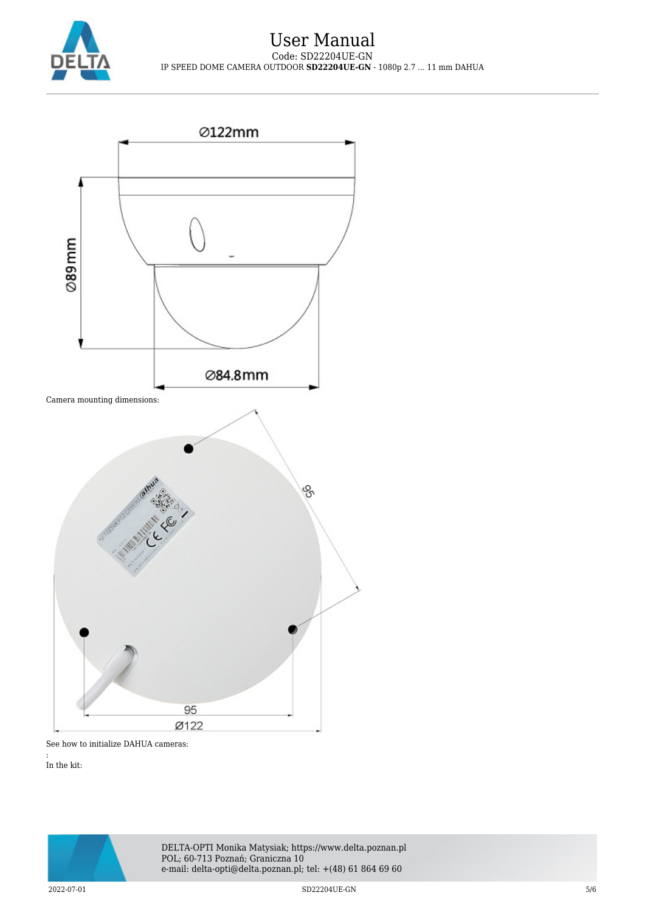



See how to initialize DAHUA cameras:

: In the kit: